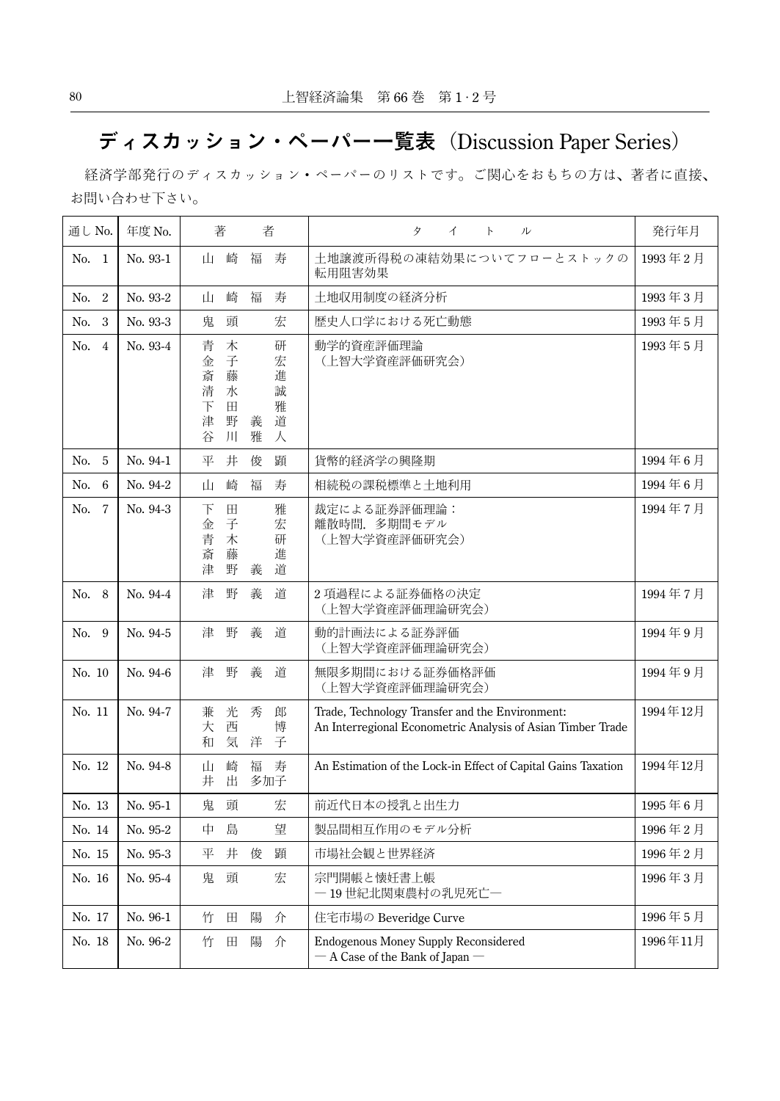## ディスカッション・ペーパー一覧表 (Discussion Paper Series)

 経済学部発行のディスカッション・ペーパーのリストです。ご関心をおもちの方は、著者に直接、 お問い合わせ下さい。

| 通し No.                | 年度 No.   | 著<br>者                                                                                                                      | タ<br>イ<br>$\mathsf{P}$<br>ル                                                                                    | 発行年月     |
|-----------------------|----------|-----------------------------------------------------------------------------------------------------------------------------|----------------------------------------------------------------------------------------------------------------|----------|
| No.<br>$\mathbf{1}$   | No. 93-1 | 崎<br>福<br>寿<br>ம                                                                                                            | 土地譲渡所得税の凍結効果についてフローとストックの<br>転用阻害効果                                                                            | 1993年2月  |
| $\overline{2}$<br>No. | No. 93-2 | 崎<br>福<br>寿<br>山                                                                                                            | 土地収用制度の経済分析                                                                                                    | 1993年3月  |
| No.<br>3              | No. 93-3 | 鬼<br>頭<br>宏                                                                                                                 | 歴史人口学における死亡動態                                                                                                  | 1993年5月  |
| No.<br>$\overline{4}$ | No. 93-4 | 木<br>研<br>青<br>子<br>宏<br>金<br>進<br>斎<br>藤<br>清<br>誠<br>水<br>雅<br>下<br>田<br>野<br>津<br>義<br>道<br>雅<br>谷<br>$\frac{1}{2}$<br>人 | 動学的資産評価理論<br>(上智大学資産評価研究会)                                                                                     | 1993年5月  |
| 5<br>No.              | No. 94-1 | 平<br>井<br>俊<br>顕                                                                                                            | 貨幣的経済学の興隆期                                                                                                     | 1994年6月  |
| 6<br>No.              | No. 94-2 | 崎<br>福<br>寿<br>山                                                                                                            | 相続税の課税標準と土地利用                                                                                                  | 1994年6月  |
| $\overline{7}$<br>No. | No. 94-3 | $\boxplus$<br>雅<br>下<br>子<br>宏<br>金<br>青<br>木<br>研<br>藤<br>進<br>斎<br>野<br>道<br>津<br>義                                       | 裁定による証券評価理論:<br>離散時間. 多期間モデル<br>(上智大学資産評価研究会)                                                                  | 1994年7月  |
| No.<br>8              | No. 94-4 | 野<br>津<br>義<br>道                                                                                                            | 2 項過程による証券価格の決定<br>(上智大学資産評価理論研究会)                                                                             | 1994年7月  |
| No.<br>9              | No. 94-5 | 野<br>義<br>道<br>津                                                                                                            | 動的計画法による証券評価<br>(上智大学資産評価理論研究会)                                                                                | 1994年9月  |
| No. 10                | No. 94-6 | 野<br>義<br>道<br>津                                                                                                            | 無限多期間における証券価格評価<br>(上智大学資産評価理論研究会)                                                                             | 1994年9月  |
| No. 11                | No. 94-7 | 光<br>秀<br>兼<br>郎<br>西<br>博<br>大<br>気<br>和<br>洋<br>子                                                                         | Trade, Technology Transfer and the Environment:<br>An Interregional Econometric Analysis of Asian Timber Trade | 1994年12月 |
| No. 12                | No. 94-8 | 崎<br>福<br>寿<br>山<br>井<br>出<br>多加子                                                                                           | An Estimation of the Lock-in Effect of Capital Gains Taxation                                                  | 1994年12月 |
| No. 13                | No. 95-1 | 鬼<br>頭<br>宏                                                                                                                 | 前近代日本の授乳と出生力                                                                                                   | 1995年6月  |
| No. 14                | No. 95-2 | 望<br>島<br>中                                                                                                                 | 製品間相互作用のモデル分析                                                                                                  | 1996年2月  |
| No. 15                | No. 95-3 | 平<br>井<br>俊<br>顕                                                                                                            | 市場社会観と世界経済                                                                                                     | 1996年2月  |
| No. 16                | No. 95-4 | 頭<br>宏<br>鬼                                                                                                                 | 宗門開帳と懐妊書上帳<br>一19世紀北関東農村の乳児死亡一                                                                                 | 1996年3月  |
| No. 17                | No. 96-1 | 竹<br>田<br>陽<br>介                                                                                                            | 住宅市場の Beveridge Curve                                                                                          | 1996年5月  |
| No. 18                | No. 96-2 | 陽<br>竹<br>田<br>介                                                                                                            | <b>Endogenous Money Supply Reconsidered</b><br>$-$ A Case of the Bank of Japan $-$                             | 1996年11月 |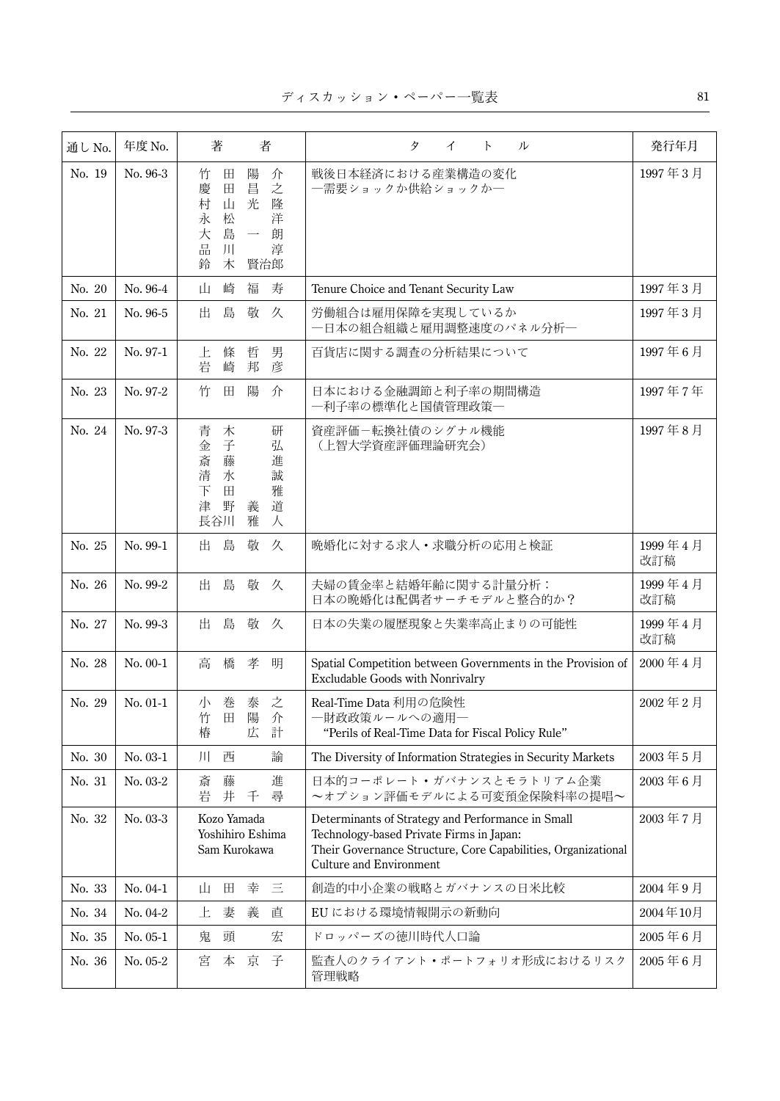| 通し No. | 年度 No.     | 著<br>者                                                                                                                                              | タ<br>イ<br>ル<br>$\mathcal{F}$                                                                                                                                                                     | 発行年月             |
|--------|------------|-----------------------------------------------------------------------------------------------------------------------------------------------------|--------------------------------------------------------------------------------------------------------------------------------------------------------------------------------------------------|------------------|
| No. 19 | No. 96-3   | 陽<br>介<br>竹<br>田<br>之<br>昌<br>慶<br>田<br>村<br>山<br>光<br>隆<br>松<br>洋<br>永<br>島<br>大<br>朗<br>$\overline{\phantom{a}}$<br>品<br>淳<br>ЛI<br>鈴<br>木<br>賢治郎 | 戦後日本経済における産業構造の変化<br>一需要ショックか供給ショックかー                                                                                                                                                            | 1997年3月          |
| No. 20 | No. 96-4   | 崎<br>福<br>寿<br>Щ.                                                                                                                                   | Tenure Choice and Tenant Security Law                                                                                                                                                            | 1997年3月          |
| No. 21 | No. 96-5   | 島<br>敬<br>出<br>久                                                                                                                                    | 労働組合は雇用保障を実現しているか<br>一日本の組合組織と雇用調整速度のパネル分析一                                                                                                                                                      | 1997年3月          |
| No. 22 | No. 97-1   | 男<br>上<br>條<br>哲<br>岩<br>崎<br>邦<br>彦                                                                                                                | 百貨店に関する調査の分析結果について                                                                                                                                                                               | 1997年6月          |
| No. 23 | No. 97-2   | 竹<br>陽<br>介<br>田                                                                                                                                    | 日本における金融調節と利子率の期間構造<br>―利子率の標準化と国債管理政策―                                                                                                                                                          | 1997年7年          |
| No. 24 | No. 97-3   | 青<br>木<br>研<br>子<br>金<br>弘<br>藤<br>斎<br>進<br>清<br>誠<br>水<br>下<br>田<br>雅<br>道<br>津<br>野<br>義<br>雅<br>長谷川<br>人                                        | 資産評価-転換社債のシグナル機能<br>(上智大学資産評価理論研究会)                                                                                                                                                              | 1997年8月          |
| No. 25 | No. 99-1   | 島<br>敬<br>出<br>久                                                                                                                                    | 晩婚化に対する求人・求職分析の応用と検証                                                                                                                                                                             | 1999年4月<br>改訂稿   |
| No. 26 | No. 99-2   | 島<br>敬<br>出<br>久                                                                                                                                    | 夫婦の賃金率と結婚年齢に関する計量分析:<br>日本の晩婚化は配偶者サーチモデルと整合的か?                                                                                                                                                   | 1999年4月<br>改訂稿   |
| No. 27 | No. 99-3   | 出<br>島<br>敬<br>久                                                                                                                                    | 日本の失業の履歴現象と失業率高止まりの可能性                                                                                                                                                                           | 1999年4月<br>改訂稿   |
| No. 28 | $No. 00-1$ | 高<br>橋<br>孝 明                                                                                                                                       | Spatial Competition between Governments in the Provision of<br><b>Excludable Goods with Nonrivalry</b>                                                                                           | 2000年4月          |
| No. 29 | $No. 01-1$ | 之<br>小<br>巻<br>泰<br>陽<br>田<br>竹<br>介<br>広<br>計<br>椿                                                                                                 | Real-Time Data 利用の危険性<br>一財政政策ルールへの適用一<br>"Perils of Real-Time Data for Fiscal Policy Rule"                                                                                                      | 2002年2月          |
| No. 30 | No. 03-1   | ЛГ<br>西<br>諭                                                                                                                                        | The Diversity of Information Strategies in Security Markets                                                                                                                                      | 2003年5月          |
| No. 31 | No. 03-2   | 斎<br>藤<br>進<br>岩<br>井<br>尋<br>千                                                                                                                     | 日本的コーポレート・ガバナンスとモラトリアム企業<br>~オプション評価モデルによる可変預金保険料率の提唱~                                                                                                                                           | $2003 \n\pm 6$ 月 |
| No. 32 | No. 03-3   | Kozo Yamada<br>Yoshihiro Eshima<br>Sam Kurokawa                                                                                                     | Determinants of Strategy and Performance in Small<br>Technology-based Private Firms in Japan:<br>Their Governance Structure, Core Capabilities, Organizational<br><b>Culture and Environment</b> | 2003年7月          |
| No. 33 | $No. 04-1$ | 田<br>幸<br>且<br>Щ                                                                                                                                    | 創造的中小企業の戦略とガバナンスの日米比較                                                                                                                                                                            | 2004年9月          |
| No. 34 | No. $04-2$ | 妻<br>上<br>義<br>直                                                                                                                                    | EUにおける環境情報開示の新動向                                                                                                                                                                                 | 2004年10月         |
| No. 35 | No. 05-1   | 頭<br>宏<br>鬼                                                                                                                                         | ドロッパーズの徳川時代人口論                                                                                                                                                                                   | 2005年6月          |
| No. 36 | No. 05-2   | 子<br>本<br>京<br>宮                                                                                                                                    | 監査人のクライアント・ポートフォリオ形成におけるリスク<br>管理戦略                                                                                                                                                              | 2005年6月          |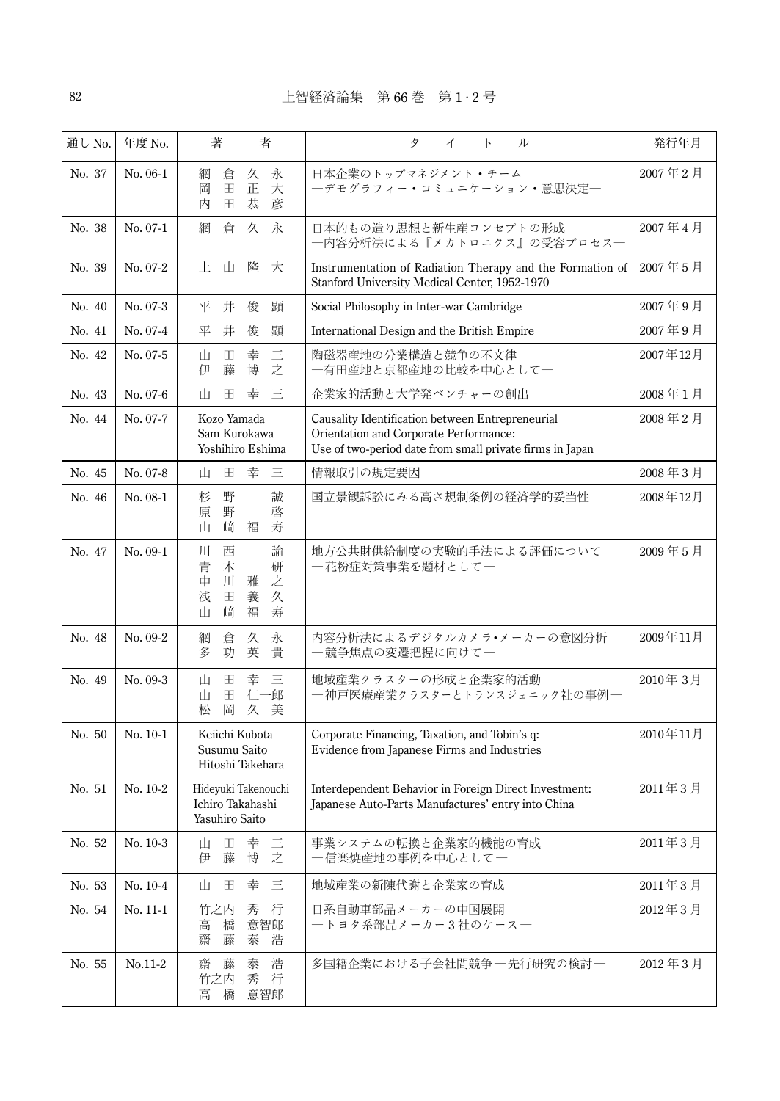| 通し No. | 年度 No.     | 著<br>者                                                                                             | タ<br>イ<br>$\mathsf{P}$<br>ル                                                                                                                            | 発行年月     |
|--------|------------|----------------------------------------------------------------------------------------------------|--------------------------------------------------------------------------------------------------------------------------------------------------------|----------|
| No. 37 | No. 06-1   | 永<br>網<br>久<br>倉<br>正<br>大<br>岡<br>田<br>彦<br>恭<br>田<br>内                                           | 日本企業のトップマネジメント・チーム<br>―デモグラフィー・コミュニケーション・意思決定―                                                                                                         | 2007年2月  |
| No. 38 | No. 07-1   | 久 永<br>網<br>倉                                                                                      | 日本的もの造り思想と新生産コンセプトの形成<br>一内容分析法による『メカトロニクス』の受容プロセス―                                                                                                    | 2007年4月  |
| No. 39 | No. 07-2   | .E.<br>山<br>隆<br>大                                                                                 | Instrumentation of Radiation Therapy and the Formation of<br>Stanford University Medical Center, 1952-1970                                             | 2007年5月  |
| No. 40 | No. 07-3   | 井<br>俊<br>顕<br>平                                                                                   | Social Philosophy in Inter-war Cambridge                                                                                                               | 2007年9月  |
| No. 41 | No. 07-4   | 平<br>井<br>俊<br>顕                                                                                   | International Design and the British Empire                                                                                                            | 2007年9月  |
| No. 42 | No. 07-5   | 幸<br>$\equiv$<br>田<br>山<br>之<br>博<br>伊<br>藤                                                        | 陶磁器産地の分業構造と競争の不文律<br>一有田産地と京都産地の比較を中心として一                                                                                                              | 2007年12月 |
| No. 43 | No. 07-6   | $\equiv$<br>幸<br>田<br>山                                                                            | 企業家的活動と大学発ベンチャーの創出                                                                                                                                     | 2008年1月  |
| No. 44 | No. 07-7   | Kozo Yamada<br>Sam Kurokawa<br>Yoshihiro Eshima                                                    | Causality Identification between Entrepreneurial<br>Orientation and Corporate Performance:<br>Use of two-period date from small private firms in Japan | 2008年2月  |
| No. 45 | No. 07-8   | 幸<br>巨<br>田<br>Щ                                                                                   | 情報取引の規定要因                                                                                                                                              | 2008年3月  |
| No. 46 | No. 08-1   | 野<br>誠<br>杉<br>野<br>原<br>啓<br>﨑<br>福<br>寿<br>山                                                     | 国立景観訴訟にみる高さ規制条例の経済学的妥当性                                                                                                                                | 2008年12月 |
| No. 47 | No. 09-1   | 西<br>諭<br>Л<br>青<br>木<br>研<br>之<br>$J\mathsf{I}$<br>中<br>雅<br>義<br>浅<br>田<br>久<br>福<br>寿<br>﨑<br>Щ | 地方公共財供給制度の実験的手法による評価について<br>一花粉症対策事業を題材として一                                                                                                            | 2009年5月  |
| No. 48 | No. 09-2   | 倉<br>久<br>永<br>網<br>英<br>貴<br>多<br>功                                                               | 内容分析法によるデジタルカメラ•メーカーの意図分析<br>一競争焦点の変遷把握に向けて一                                                                                                           | 2009年11月 |
| No. 49 | No. 09-3   | 幸<br>巨<br>Щ<br>Ħ<br>田<br>仁一郎<br>Щ<br>岡<br>久<br>松<br>美                                              | 地域産業クラスターの形成と企業家的活動<br>― 神戸医療産業クラスターとトランスジェニック社の事例―                                                                                                    | 2010年3月  |
| No. 50 | $No. 10-1$ | Keiichi Kubota<br>Susumu Saito<br>Hitoshi Takehara                                                 | Corporate Financing, Taxation, and Tobin's q:<br>Evidence from Japanese Firms and Industries                                                           | 2010年11月 |
| No. 51 | No. 10-2   | Hideyuki Takenouchi<br>Ichiro Takahashi<br>Yasuhiro Saito                                          | Interdependent Behavior in Foreign Direct Investment:<br>Japanese Auto-Parts Manufactures' entry into China                                            | 2011年3月  |
| No. 52 | No. 10-3   | $\Box$<br>幸<br>山<br>三<br>之<br>藤<br>博<br>伊                                                          | 事業システムの転換と企業家的機能の育成<br>一信楽焼産地の事例を中心として一                                                                                                                | 2011年3月  |
| No. 53 | $No. 10-4$ | 三<br>幸<br>山<br>田                                                                                   | 地域産業の新陳代謝と企業家の育成                                                                                                                                       | 2011年3月  |
| No. 54 | No. 11-1   | 竹之内<br>秀<br>行<br>意智郎<br>高<br>橋<br>藤<br>泰<br>齋<br>浩                                                 | 日系自動車部品メーカーの中国展開<br>―トヨタ系部品メーカー3社のケース―                                                                                                                 | 2012年3月  |
| No. 55 | $No.11-2$  | 浩<br>齋<br>藤<br>泰<br>竹之内<br>秀<br>行<br>橋<br>意智郎<br>高                                                 | 多国籍企業における子会社間競争一先行研究の検討一                                                                                                                               | 2012年3月  |